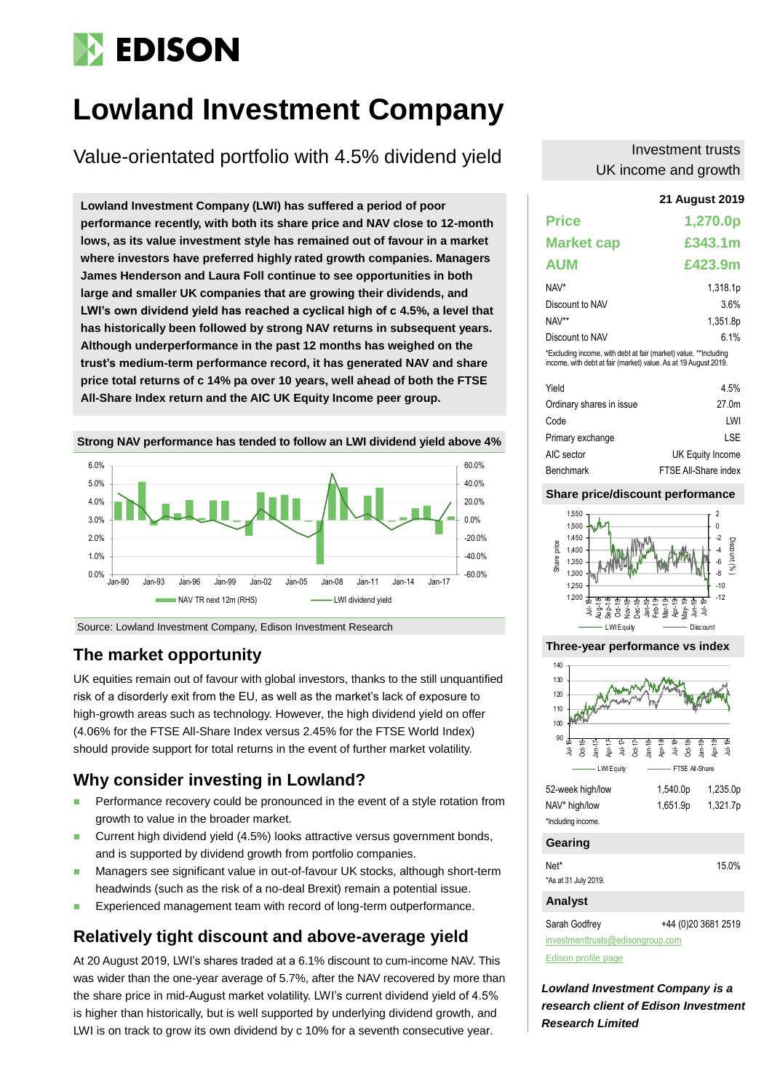# **EDISON**

# **Lowland Investment Company**

Value-orientated portfolio with 4.5% dividend yield

**21 August 2019 Lowland Investment Company (LWI) has suffered a period of poor performance recently, with both its share price and NAV close to 12-month lows, as its value investment style has remained out of favour in a market where investors have preferred highly rated growth companies. Managers James Henderson and Laura Foll continue to see opportunities in both large and smaller UK companies that are growing their dividends, and LWI's own dividend yield has reached a cyclical high of c 4.5%, a level that has historically been followed by strong NAV returns in subsequent years. Although underperformance in the past 12 months has weighed on the trust's medium-term performance record, it has generated NAV and share price total returns of c 14% pa over 10 years, well ahead of both the FTSE All-Share Index return and the AIC UK Equity Income peer group.**



Source: Lowland Investment Company, Edison Investment Research

## **The market opportunity**

UK equities remain out of favour with global investors, thanks to the still unquantified risk of a disorderly exit from the EU, as well as the market's lack of exposure to high-growth areas such as technology. However, the high dividend yield on offer (4.06% for the FTSE All-Share Index versus 2.45% for the FTSE World Index) should provide support for total returns in the event of further market volatility.

# **Why consider investing in Lowland?**

- Performance recovery could be pronounced in the event of a style rotation from growth to value in the broader market.
- Current high dividend yield (4.5%) looks attractive versus government bonds, and is supported by dividend growth from portfolio companies.
- **Managers see significant value in out-of-favour UK stocks, although short-term** headwinds (such as the risk of a no-deal Brexit) remain a potential issue.
- Experienced management team with record of long-term outperformance.

# **Relatively tight discount and above-average yield**

At 20 August 2019, LWI's shares traded at a 6.1% discount to cum-income NAV. This was wider than the one-year average of 5.7%, after the NAV recovered by more than the share price in mid-August market volatility. LWI's current dividend yield of 4.5% is higher than historically, but is well supported by underlying dividend growth, and LWI is on track to grow its own dividend by c 10% for a seventh consecutive year.

### Investment trusts UK income and growth

| <b>Price</b>                                                                                                                        | 1,270.0p             |
|-------------------------------------------------------------------------------------------------------------------------------------|----------------------|
| <b>Market cap</b>                                                                                                                   | £343.1m              |
| <b>AUM</b>                                                                                                                          | £423.9m              |
| NAV*                                                                                                                                | 1,318.1 <sub>p</sub> |
| Discount to NAV                                                                                                                     | 3.6%                 |
| NAV**                                                                                                                               | 1.351.8 <sub>p</sub> |
| Discount to NAV                                                                                                                     | 6.1%                 |
| *Excluding income, with debt at fair (market) value. **Including<br>income, with debt at fair (market) value. As at 19 August 2019. |                      |
| Yield                                                                                                                               | 4.5%                 |
| متنصفا المارات متحملة المستحملات                                                                                                    | 57 A.L               |

| 4.5%                 |
|----------------------|
| 27.0 <sub>m</sub>    |
| I W                  |
| LSE                  |
| UK Equity Income     |
| FTSE All-Share index |
|                      |

#### **Share price/discount performance**



**Three-year performance vs index**



#### **Gearing**

| <b>Analyst</b>       |       |
|----------------------|-------|
| *As at 31 July 2019. |       |
| Net*                 | 15.0% |

Sarah Godfrey +44 (0)20 3681 2519

[investmenttrusts@edisongroup.com](mailto:investmenttrusts@edisongroup.com)

[Edison profile page](https://www.edisongroup.com/company/lowland-investment-company/2336)

*Lowland Investment Company is a research client of Edison Investment Research Limited*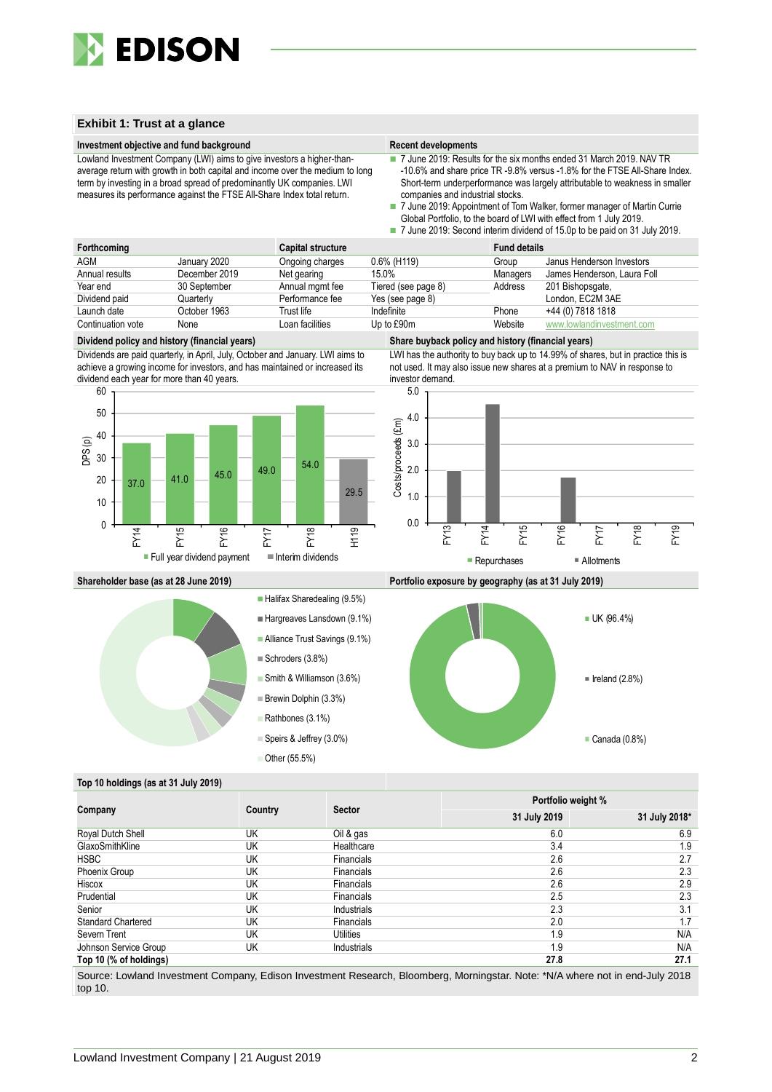

#### **Exhibit 1: Trust at a glance**

#### **Investment objective and fund background Recent developments Recent developments**

Lowland Investment Company (LWI) aims to give investors a higher-thanaverage return with growth in both capital and income over the medium to long term by investing in a broad spread of predominantly UK companies. LWI measures its performance against the FTSE All-Share Index total return.

- 7 June 2019: Results for the six months ended 31 March 2019. NAV TR -10.6% and share price TR -9.8% versus -1.8% for the FTSE All-Share Index. Short-term underperformance was largely attributable to weakness in smaller companies and industrial stocks.
- 7 June 2019: Appointment of Tom Walker, former manager of Martin Currie Global Portfolio, to the board of LWI with effect from 1 July 2019. 7 June 2019: Second interim dividend of 15.0p to be paid on 31 July 2019.

| Forthcoming       |               | <b>Capital structure</b> |                     | <b>Fund details</b> |                             |
|-------------------|---------------|--------------------------|---------------------|---------------------|-----------------------------|
| <b>AGM</b>        | January 2020  | Ongoing charges          | $0.6\%$ (H119)      | Group               | Janus Henderson Investors   |
| Annual results    | December 2019 | Net gearing              | 15.0%               | Managers            | James Henderson, Laura Foll |
| Year end          | 30 September  | Annual mgmt fee          | Tiered (see page 8) | Address             | 201 Bishopsgate,            |
| Dividend paid     | Quarterly     | Performance fee          | Yes (see page 8)    |                     | London, EC2M 3AE            |
| Launch date       | October 1963  | Trust life               | Indefinite          | Phone               | +44 (0) 7818 1818           |
| Continuation vote | None          | Loan facilities          | Up to £90m          | Website             | www.lowlandinvestment.com   |

#### **Dividend policy and history (financial years) Share buyback policy and history (financial years)**

Dividends are paid quarterly, in April, July, October and January. LWI aims to achieve a growing income for investors, and has maintained or increased its dividend each year for more than 40 years.



LWI has the authority to buy back up to 14.99% of shares, but in practice this is not used. It may also issue new shares at a premium to NAV in response to investor demand.



**Shareholder base (as at 28 June 2019) Portfolio exposure by geography (as at 31 July 2019)**



#### Halifax Sharedealing (9.5%)

- Hargreaves Lansdown (9.1%)
- Alliance Trust Savings (9.1%)
- Schroders (3.8%)
- Smith & Williamson (3.6%)
- Brewin Dolphin (3.3%)
- Rathbones (3.1%)

Speirs & Jeffrey (3.0%)

■ Other (55.5%)





#### **Top 10 holdings (as at 31 July 2019)**

|                           |         |                   | Portfolio weight % |               |  |  |
|---------------------------|---------|-------------------|--------------------|---------------|--|--|
| Company                   | Country | <b>Sector</b>     | 31 July 2019       | 31 July 2018* |  |  |
| Royal Dutch Shell         | UK      | Oil & gas         | 6.0                | 6.9           |  |  |
| GlaxoSmithKline           | UK      | Healthcare        | 3.4                | 1.9           |  |  |
| <b>HSBC</b>               | UK      | <b>Financials</b> | 2.6                | 2.7           |  |  |
| Phoenix Group             | UK      | <b>Financials</b> | 2.6                | 2.3           |  |  |
| Hiscox                    | UK      | <b>Financials</b> | 2.6                | 2.9           |  |  |
| Prudential                | UK      | Financials        | 2.5                | 2.3           |  |  |
| Senior                    | UK      | Industrials       | 2.3                | 3.1           |  |  |
| <b>Standard Chartered</b> | UK      | <b>Financials</b> | 2.0                | 1.7           |  |  |
| Severn Trent              | UK      | Utilities         | 1.9                | N/A           |  |  |
| Johnson Service Group     | UK      | Industrials       | 1.9                | N/A           |  |  |
| Top 10 (% of holdings)    |         |                   | 27.8               | 27.1          |  |  |

Source: Lowland Investment Company, Edison Investment Research, Bloomberg, Morningstar. Note: \*N/A where not in end-July 2018 top 10.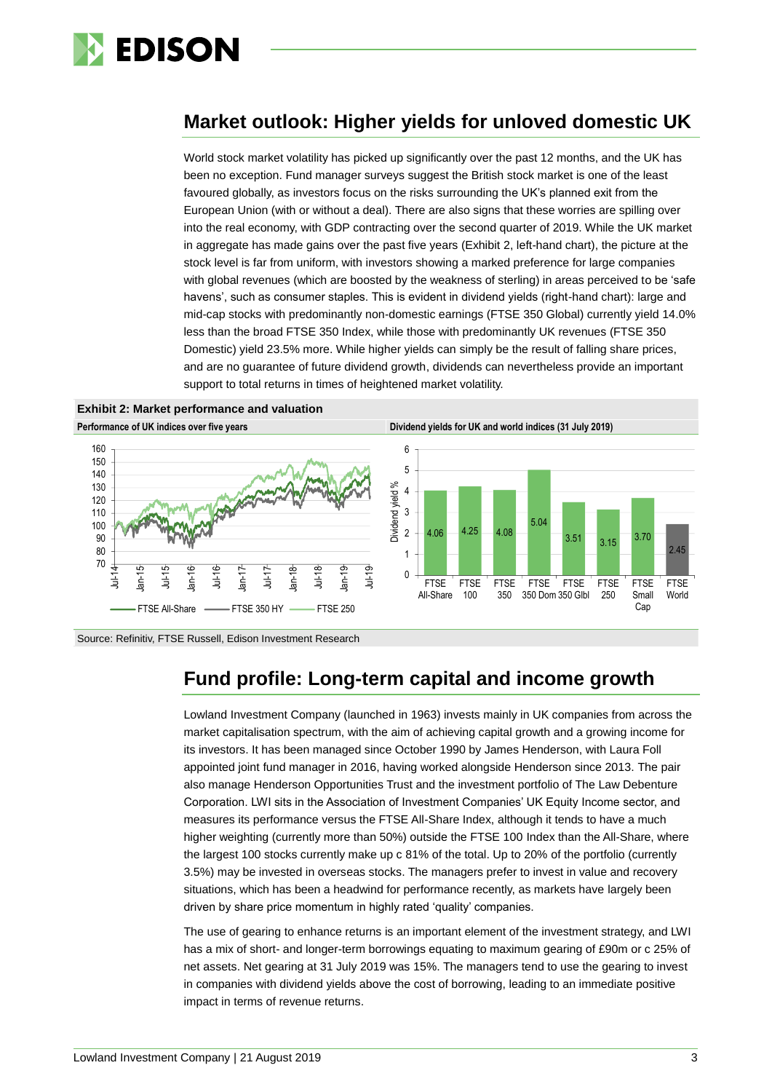

# **Market outlook: Higher yields for unloved domestic UK**

World stock market volatility has picked up significantly over the past 12 months, and the UK has been no exception. Fund manager surveys suggest the British stock market is one of the least favoured globally, as investors focus on the risks surrounding the UK's planned exit from the European Union (with or without a deal). There are also signs that these worries are spilling over into the real economy, with GDP contracting over the second quarter of 2019. While the UK market in aggregate has made gains over the past five years (Exhibit 2, left-hand chart), the picture at the stock level is far from uniform, with investors showing a marked preference for large companies with global revenues (which are boosted by the weakness of sterling) in areas perceived to be 'safe havens', such as consumer staples. This is evident in dividend yields (right-hand chart): large and mid-cap stocks with predominantly non-domestic earnings (FTSE 350 Global) currently yield 14.0% less than the broad FTSE 350 Index, while those with predominantly UK revenues (FTSE 350 Domestic) yield 23.5% more. While higher yields can simply be the result of falling share prices, and are no guarantee of future dividend growth, dividends can nevertheless provide an important support to total returns in times of heightened market volatility.

**Exhibit 2: Market performance and valuation**



Source: Refinitiv, FTSE Russell, Edison Investment Research

# **Fund profile: Long-term capital and income growth**

Lowland Investment Company (launched in 1963) invests mainly in UK companies from across the market capitalisation spectrum, with the aim of achieving capital growth and a growing income for its investors. It has been managed since October 1990 by James Henderson, with Laura Foll appointed joint fund manager in 2016, having worked alongside Henderson since 2013. The pair also manage Henderson Opportunities Trust and the investment portfolio of The Law Debenture Corporation. LWI sits in the Association of Investment Companies' UK Equity Income sector, and measures its performance versus the FTSE All-Share Index, although it tends to have a much higher weighting (currently more than 50%) outside the FTSE 100 Index than the All-Share, where the largest 100 stocks currently make up c 81% of the total. Up to 20% of the portfolio (currently 3.5%) may be invested in overseas stocks. The managers prefer to invest in value and recovery situations, which has been a headwind for performance recently, as markets have largely been driven by share price momentum in highly rated 'quality' companies.

The use of gearing to enhance returns is an important element of the investment strategy, and LWI has a mix of short- and longer-term borrowings equating to maximum gearing of £90m or c 25% of net assets. Net gearing at 31 July 2019 was 15%. The managers tend to use the gearing to invest in companies with dividend yields above the cost of borrowing, leading to an immediate positive impact in terms of revenue returns.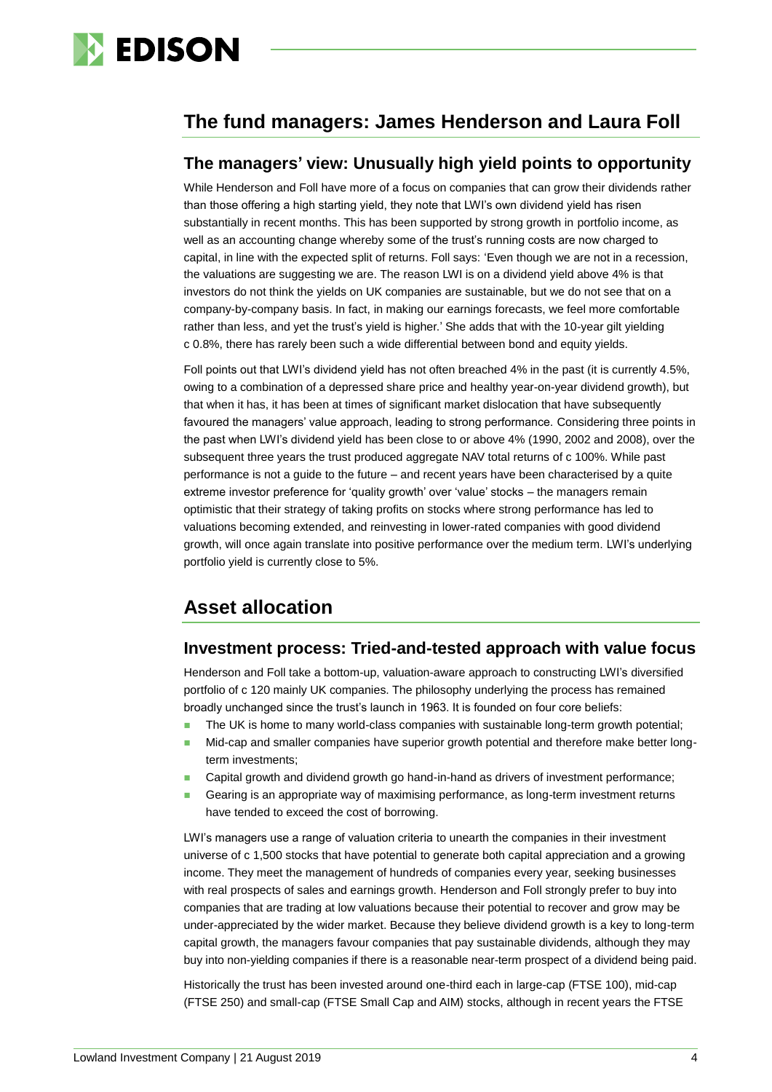

# **The fund managers: James Henderson and Laura Foll**

### **The managers' view: Unusually high yield points to opportunity**

While Henderson and Foll have more of a focus on companies that can grow their dividends rather than those offering a high starting yield, they note that LWI's own dividend yield has risen substantially in recent months. This has been supported by strong growth in portfolio income, as well as an accounting change whereby some of the trust's running costs are now charged to capital, in line with the expected split of returns. Foll says: 'Even though we are not in a recession, the valuations are suggesting we are. The reason LWI is on a dividend yield above 4% is that investors do not think the yields on UK companies are sustainable, but we do not see that on a company-by-company basis. In fact, in making our earnings forecasts, we feel more comfortable rather than less, and yet the trust's yield is higher.' She adds that with the 10-year gilt yielding c 0.8%, there has rarely been such a wide differential between bond and equity yields.

Foll points out that LWI's dividend yield has not often breached 4% in the past (it is currently 4.5%, owing to a combination of a depressed share price and healthy year-on-year dividend growth), but that when it has, it has been at times of significant market dislocation that have subsequently favoured the managers' value approach, leading to strong performance. Considering three points in the past when LWI's dividend yield has been close to or above 4% (1990, 2002 and 2008), over the subsequent three years the trust produced aggregate NAV total returns of c 100%. While past performance is not a guide to the future – and recent years have been characterised by a quite extreme investor preference for 'quality growth' over 'value' stocks – the managers remain optimistic that their strategy of taking profits on stocks where strong performance has led to valuations becoming extended, and reinvesting in lower-rated companies with good dividend growth, will once again translate into positive performance over the medium term. LWI's underlying portfolio yield is currently close to 5%.

# **Asset allocation**

## **Investment process: Tried-and-tested approach with value focus**

Henderson and Foll take a bottom-up, valuation-aware approach to constructing LWI's diversified portfolio of c 120 mainly UK companies. The philosophy underlying the process has remained broadly unchanged since the trust's launch in 1963. It is founded on four core beliefs:

- The UK is home to many world-class companies with sustainable long-term growth potential;
- Mid-cap and smaller companies have superior growth potential and therefore make better longterm investments;
- Capital growth and dividend growth go hand-in-hand as drivers of investment performance;
- **Gearing is an appropriate way of maximising performance, as long-term investment returns** have tended to exceed the cost of borrowing.

LWI's managers use a range of valuation criteria to unearth the companies in their investment universe of c 1,500 stocks that have potential to generate both capital appreciation and a growing income. They meet the management of hundreds of companies every year, seeking businesses with real prospects of sales and earnings growth. Henderson and Foll strongly prefer to buy into companies that are trading at low valuations because their potential to recover and grow may be under-appreciated by the wider market. Because they believe dividend growth is a key to long-term capital growth, the managers favour companies that pay sustainable dividends, although they may buy into non-yielding companies if there is a reasonable near-term prospect of a dividend being paid.

Historically the trust has been invested around one-third each in large-cap (FTSE 100), mid-cap (FTSE 250) and small-cap (FTSE Small Cap and AIM) stocks, although in recent years the FTSE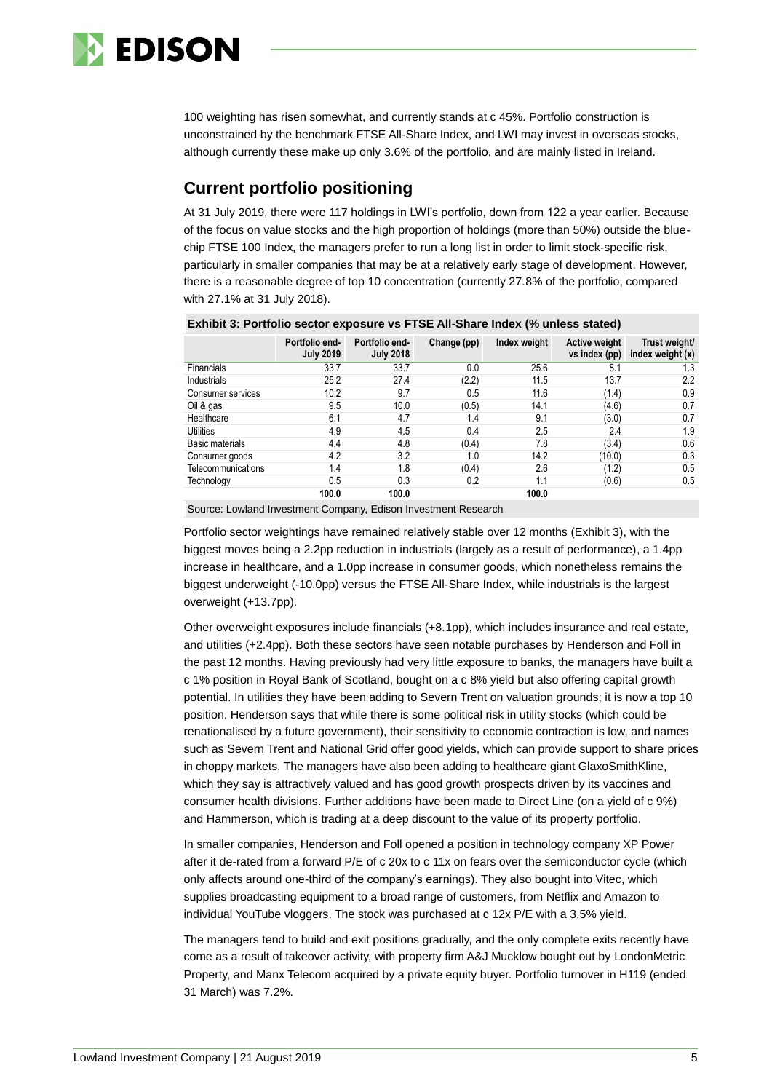

100 weighting has risen somewhat, and currently stands at c 45%. Portfolio construction is unconstrained by the benchmark FTSE All-Share Index, and LWI may invest in overseas stocks, although currently these make up only 3.6% of the portfolio, and are mainly listed in Ireland.

## **Current portfolio positioning**

At 31 July 2019, there were 117 holdings in LWI's portfolio, down from 122 a year earlier. Because of the focus on value stocks and the high proportion of holdings (more than 50%) outside the bluechip FTSE 100 Index, the managers prefer to run a long list in order to limit stock-specific risk, particularly in smaller companies that may be at a relatively early stage of development. However, there is a reasonable degree of top 10 concentration (currently 27.8% of the portfolio, compared with 27.1% at 31 July 2018).

|                    | $\sim$ $\sim$ $\sim$ $\sim$ $\sim$ $\sim$ $\sim$ $\sim$ |                                    |             |              |                                |                                     |  |  |  |  |  |
|--------------------|---------------------------------------------------------|------------------------------------|-------------|--------------|--------------------------------|-------------------------------------|--|--|--|--|--|
|                    | Portfolio end-<br><b>July 2019</b>                      | Portfolio end-<br><b>July 2018</b> | Change (pp) | Index weight | Active weight<br>vs index (pp) | Trust weight/<br>index weight $(x)$ |  |  |  |  |  |
| Financials         | 33.7                                                    | 33.7                               | 0.0         | 25.6         | 8.1                            | 1.3                                 |  |  |  |  |  |
| Industrials        | 25.2                                                    | 27.4                               | (2.2)       | 11.5         | 13.7                           | 2.2                                 |  |  |  |  |  |
| Consumer services  | 10.2                                                    | 9.7                                | 0.5         | 11.6         | (1.4)                          | 0.9                                 |  |  |  |  |  |
| Oil & gas          | 9.5                                                     | 10.0                               | (0.5)       | 14.1         | (4.6)                          | 0.7                                 |  |  |  |  |  |
| Healthcare         | 6.1                                                     | 4.7                                | 1.4         | 9.1          | (3.0)                          | 0.7                                 |  |  |  |  |  |
| <b>Utilities</b>   | 4.9                                                     | 4.5                                | 0.4         | 2.5          | 2.4                            | 1.9                                 |  |  |  |  |  |
| Basic materials    | 4.4                                                     | 4.8                                | (0.4)       | 7.8          | (3.4)                          | 0.6                                 |  |  |  |  |  |
| Consumer goods     | 4.2                                                     | 3.2                                | 1.0         | 14.2         | (10.0)                         | 0.3                                 |  |  |  |  |  |
| Telecommunications | 1.4                                                     | 1.8                                | (0.4)       | 2.6          | (1.2)                          | 0.5                                 |  |  |  |  |  |
| Technology         | 0.5                                                     | 0.3                                | 0.2         | 1.1          | (0.6)                          | 0.5                                 |  |  |  |  |  |
|                    | 100.0                                                   | 100.0                              |             | 100.0        |                                |                                     |  |  |  |  |  |

#### **Exhibit 3: Portfolio sector exposure vs FTSE All-Share Index (% unless stated)**

Source: Lowland Investment Company, Edison Investment Research

Portfolio sector weightings have remained relatively stable over 12 months (Exhibit 3), with the biggest moves being a 2.2pp reduction in industrials (largely as a result of performance), a 1.4pp increase in healthcare, and a 1.0pp increase in consumer goods, which nonetheless remains the biggest underweight (-10.0pp) versus the FTSE All-Share Index, while industrials is the largest overweight (+13.7pp).

Other overweight exposures include financials (+8.1pp), which includes insurance and real estate, and utilities (+2.4pp). Both these sectors have seen notable purchases by Henderson and Foll in the past 12 months. Having previously had very little exposure to banks, the managers have built a c 1% position in Royal Bank of Scotland, bought on a c 8% yield but also offering capital growth potential. In utilities they have been adding to Severn Trent on valuation grounds; it is now a top 10 position. Henderson says that while there is some political risk in utility stocks (which could be renationalised by a future government), their sensitivity to economic contraction is low, and names such as Severn Trent and National Grid offer good yields, which can provide support to share prices in choppy markets. The managers have also been adding to healthcare giant GlaxoSmithKline, which they say is attractively valued and has good growth prospects driven by its vaccines and consumer health divisions. Further additions have been made to Direct Line (on a yield of c 9%) and Hammerson, which is trading at a deep discount to the value of its property portfolio.

In smaller companies, Henderson and Foll opened a position in technology company XP Power after it de-rated from a forward P/E of c 20x to c 11x on fears over the semiconductor cycle (which only affects around one-third of the company's earnings). They also bought into Vitec, which supplies broadcasting equipment to a broad range of customers, from Netflix and Amazon to individual YouTube vloggers. The stock was purchased at c 12x P/E with a 3.5% yield.

The managers tend to build and exit positions gradually, and the only complete exits recently have come as a result of takeover activity, with property firm A&J Mucklow bought out by LondonMetric Property, and Manx Telecom acquired by a private equity buyer. Portfolio turnover in H119 (ended 31 March) was 7.2%.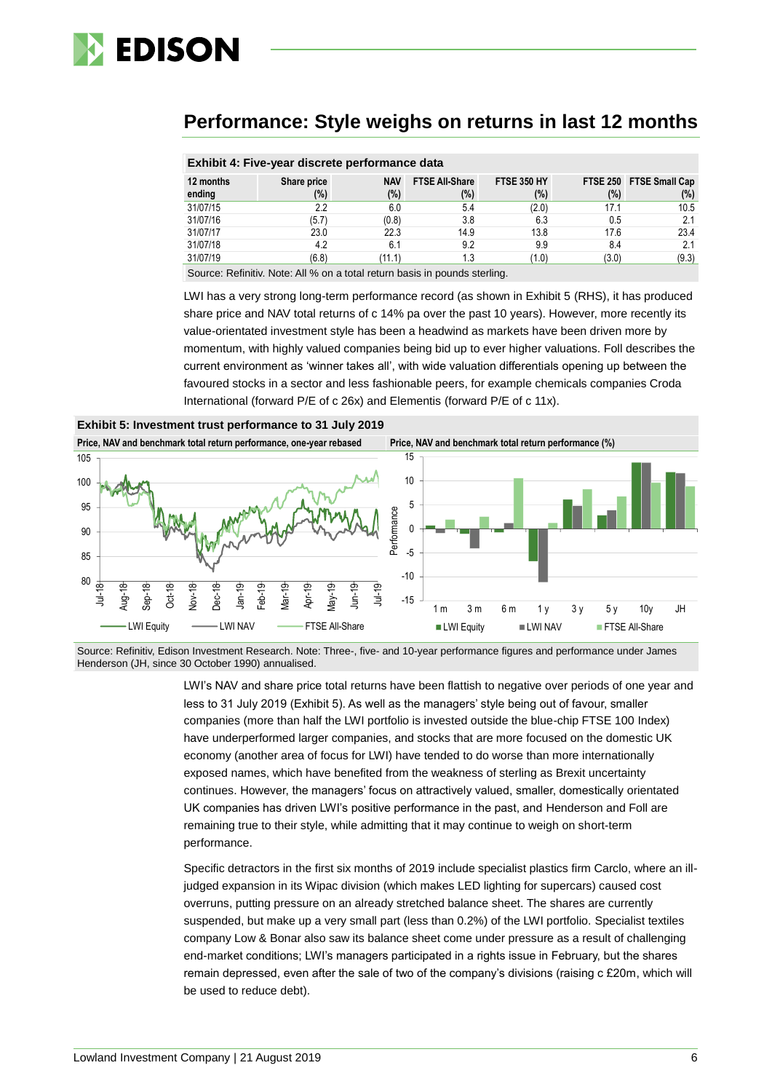

# **Performance: Style weighs on returns in last 12 months**

|           | Exhibit 4: Five-year discrete performance data |            |                       |                    |       |                         |  |  |  |  |  |
|-----------|------------------------------------------------|------------|-----------------------|--------------------|-------|-------------------------|--|--|--|--|--|
| 12 months | Share price                                    | <b>NAV</b> | <b>FTSE All-Share</b> | <b>FTSE 350 HY</b> |       | FTSE 250 FTSE Small Cap |  |  |  |  |  |
| ending    | (%)                                            | (%)        | (%)                   | $(\%)$             | (%)   | $(\%)$                  |  |  |  |  |  |
| 31/07/15  | 2.2                                            | 6.0        | 5.4                   | (2.0)              | 17.1  | 10.5                    |  |  |  |  |  |
| 31/07/16  | (5.7)                                          | (0.8)      | 3.8                   | 6.3                | 0.5   | 2.1                     |  |  |  |  |  |
| 31/07/17  | 23.0                                           | 22.3       | 14.9                  | 13.8               | 17.6  | 23.4                    |  |  |  |  |  |
| 31/07/18  | 4.2                                            | 6.1        | 9.2                   | 9.9                | 8.4   | 2.1                     |  |  |  |  |  |
| 31/07/19  | (6.8)                                          | (11.1)     | 1.3                   | (1.0)              | (3.0) | (9.3)                   |  |  |  |  |  |
|           |                                                |            |                       |                    |       |                         |  |  |  |  |  |

#### **Exhibit 4: Five-year discrete performance data**

Source: Refinitiv. Note: All % on a total return basis in pounds sterling.

LWI has a very strong long-term performance record (as shown in Exhibit 5 (RHS), it has produced share price and NAV total returns of c 14% pa over the past 10 years). However, more recently its value-orientated investment style has been a headwind as markets have been driven more by momentum, with highly valued companies being bid up to ever higher valuations. Foll describes the current environment as 'winner takes all', with wide valuation differentials opening up between the favoured stocks in a sector and less fashionable peers, for example chemicals companies Croda International (forward P/E of c 26x) and Elementis (forward P/E of c 11x).



Source: Refinitiv, Edison Investment Research. Note: Three-, five- and 10-year performance figures and performance under James Henderson (JH, since 30 October 1990) annualised.

> LWI's NAV and share price total returns have been flattish to negative over periods of one year and less to 31 July 2019 (Exhibit 5). As well as the managers' style being out of favour, smaller companies (more than half the LWI portfolio is invested outside the blue-chip FTSE 100 Index) have underperformed larger companies, and stocks that are more focused on the domestic UK economy (another area of focus for LWI) have tended to do worse than more internationally exposed names, which have benefited from the weakness of sterling as Brexit uncertainty continues. However, the managers' focus on attractively valued, smaller, domestically orientated UK companies has driven LWI's positive performance in the past, and Henderson and Foll are remaining true to their style, while admitting that it may continue to weigh on short-term performance.

> Specific detractors in the first six months of 2019 include specialist plastics firm Carclo, where an illjudged expansion in its Wipac division (which makes LED lighting for supercars) caused cost overruns, putting pressure on an already stretched balance sheet. The shares are currently suspended, but make up a very small part (less than 0.2%) of the LWI portfolio. Specialist textiles company Low & Bonar also saw its balance sheet come under pressure as a result of challenging end-market conditions; LWI's managers participated in a rights issue in February, but the shares remain depressed, even after the sale of two of the company's divisions (raising c £20m, which will be used to reduce debt).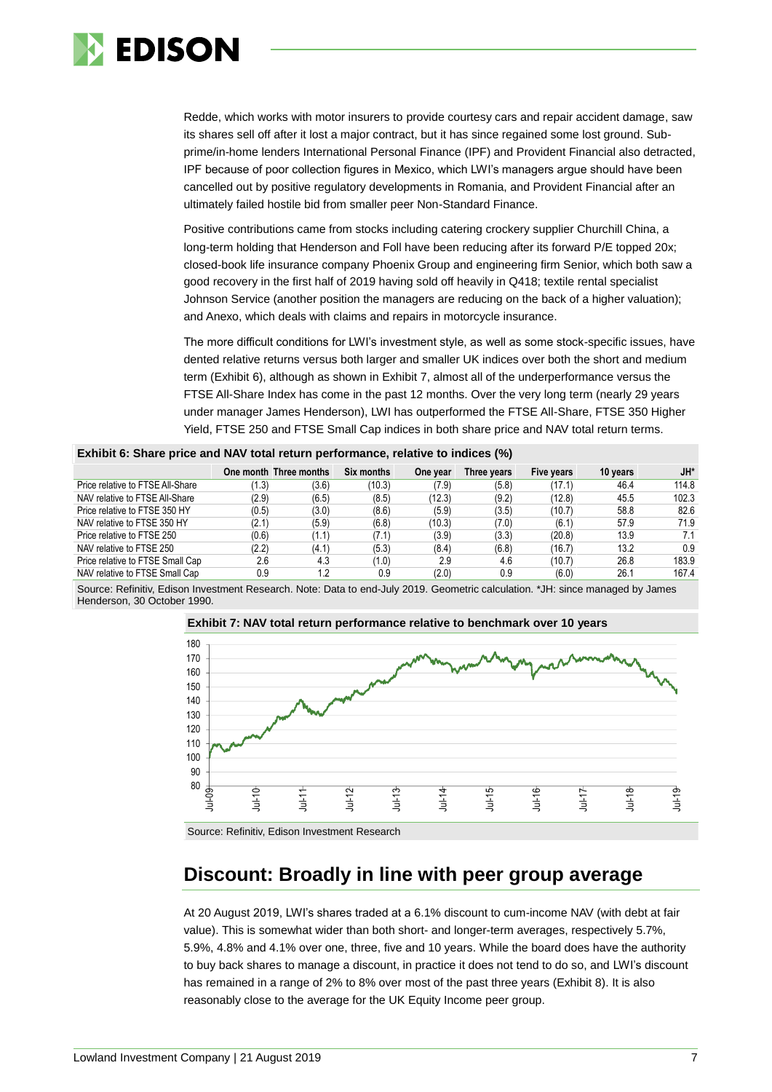

Redde, which works with motor insurers to provide courtesy cars and repair accident damage, saw its shares sell off after it lost a major contract, but it has since regained some lost ground. Subprime/in-home lenders International Personal Finance (IPF) and Provident Financial also detracted, IPF because of poor collection figures in Mexico, which LWI's managers argue should have been cancelled out by positive regulatory developments in Romania, and Provident Financial after an ultimately failed hostile bid from smaller peer Non-Standard Finance.

Positive contributions came from stocks including catering crockery supplier Churchill China, a long-term holding that Henderson and Foll have been reducing after its forward P/E topped 20x; closed-book life insurance company Phoenix Group and engineering firm Senior, which both saw a good recovery in the first half of 2019 having sold off heavily in Q418; textile rental specialist Johnson Service (another position the managers are reducing on the back of a higher valuation); and Anexo, which deals with claims and repairs in motorcycle insurance.

The more difficult conditions for LWI's investment style, as well as some stock-specific issues, have dented relative returns versus both larger and smaller UK indices over both the short and medium term (Exhibit 6), although as shown in Exhibit 7, almost all of the underperformance versus the FTSE All-Share Index has come in the past 12 months. Over the very long term (nearly 29 years under manager James Henderson), LWI has outperformed the FTSE All-Share, FTSE 350 Higher Yield, FTSE 250 and FTSE Small Cap indices in both share price and NAV total return terms.

|  |  |  |  |  | Exhibit 6: Share price and NAV total return performance, relative to indices (%) |
|--|--|--|--|--|----------------------------------------------------------------------------------|
|--|--|--|--|--|----------------------------------------------------------------------------------|

|                                  |       | One month Three months | Six months | One year | Three years | Five years | 10 years | JH*   |
|----------------------------------|-------|------------------------|------------|----------|-------------|------------|----------|-------|
| Price relative to FTSE All-Share | (1.3) | (3.6)                  | (10.3)     | (7.9)    | (5.8)       | (17.1)     | 46.4     | 114.8 |
| NAV relative to FTSE All-Share   | (2.9) | (6.5)                  | (8.5)      | (12.3)   | (9.2)       | (12.8)     | 45.5     | 102.3 |
| Price relative to FTSE 350 HY    | (0.5) | (3.0)                  | (8.6)      | (5.9)    | (3.5)       | (10.7)     | 58.8     | 82.6  |
| NAV relative to FTSE 350 HY      | (2.1) | (5.9)                  | (6.8)      | (10.3)   | (7.0)       | (6.1)      | 57.9     | 71.9  |
| Price relative to FTSE 250       | (0.6) | (1.1)                  | (7.1)      | (3.9)    | (3.3)       | (20.8)     | 13.9     | 7.1   |
| NAV relative to FTSE 250         | (2.2) | (4.1)                  | (5.3)      | (8.4)    | (6.8)       | (16.7)     | 13.2     | 0.9   |
| Price relative to FTSE Small Cap | 2.6   | 4.3                    | (1.0)      | 2.9      | 4.6         | (10.7)     | 26.8     | 183.9 |
| NAV relative to FTSE Small Cap   | 0.9   | $\cdot$                | 0.9        | (2.0)    | 0.9         | (6.0)      | 26.1     | 167.4 |

Source: Refinitiv, Edison Investment Research. Note: Data to end-July 2019. Geometric calculation. \*JH: since managed by James Henderson, 30 October 1990.



Source: Refinitiv, Edison Investment Research

# **Discount: Broadly in line with peer group average**

At 20 August 2019, LWI's shares traded at a 6.1% discount to cum-income NAV (with debt at fair value). This is somewhat wider than both short- and longer-term averages, respectively 5.7%, 5.9%, 4.8% and 4.1% over one, three, five and 10 years. While the board does have the authority to buy back shares to manage a discount, in practice it does not tend to do so, and LWI's discount has remained in a range of 2% to 8% over most of the past three years (Exhibit 8). It is also reasonably close to the average for the UK Equity Income peer group.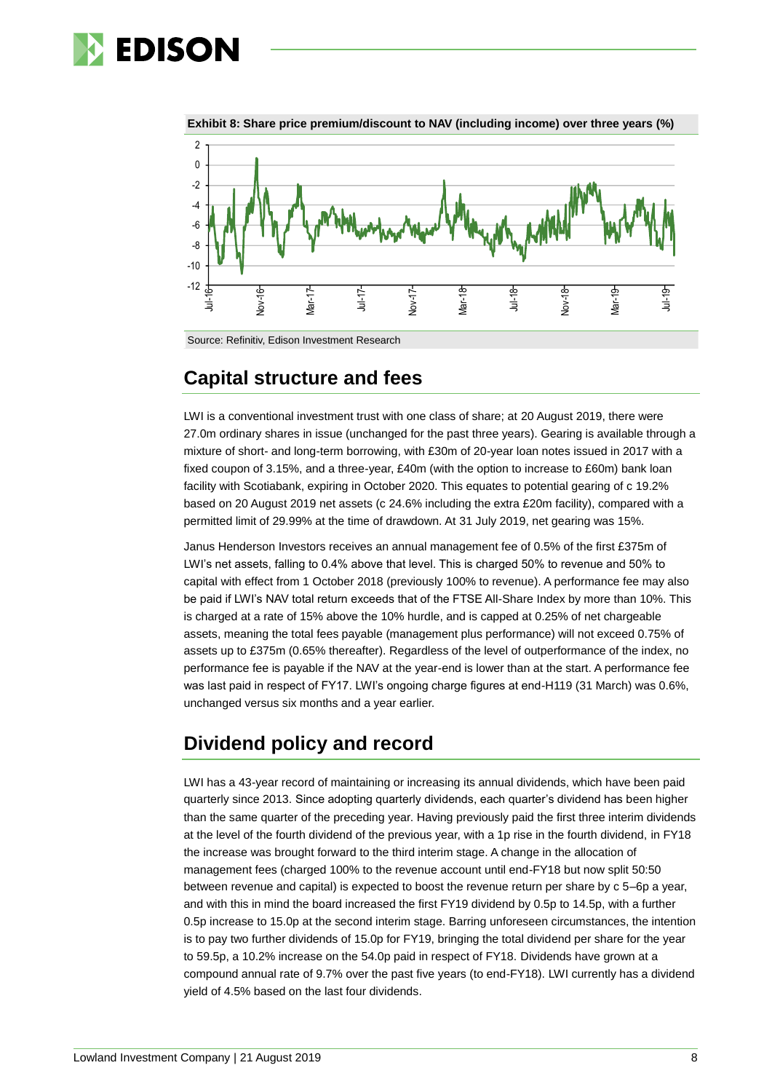



**Exhibit 8: Share price premium/discount to NAV (including income) over three years (%)**

Source: Refinitiv, Edison Investment Research

# **Capital structure and fees**

LWI is a conventional investment trust with one class of share; at 20 August 2019, there were 27.0m ordinary shares in issue (unchanged for the past three years). Gearing is available through a mixture of short- and long-term borrowing, with £30m of 20-year loan notes issued in 2017 with a fixed coupon of 3.15%, and a three-year, £40m (with the option to increase to £60m) bank loan facility with Scotiabank, expiring in October 2020. This equates to potential gearing of c 19.2% based on 20 August 2019 net assets (c 24.6% including the extra £20m facility), compared with a permitted limit of 29.99% at the time of drawdown. At 31 July 2019, net gearing was 15%.

Janus Henderson Investors receives an annual management fee of 0.5% of the first £375m of LWI's net assets, falling to 0.4% above that level. This is charged 50% to revenue and 50% to capital with effect from 1 October 2018 (previously 100% to revenue). A performance fee may also be paid if LWI's NAV total return exceeds that of the FTSE All-Share Index by more than 10%. This is charged at a rate of 15% above the 10% hurdle, and is capped at 0.25% of net chargeable assets, meaning the total fees payable (management plus performance) will not exceed 0.75% of assets up to £375m (0.65% thereafter). Regardless of the level of outperformance of the index, no performance fee is payable if the NAV at the year-end is lower than at the start. A performance fee was last paid in respect of FY17. LWI's ongoing charge figures at end-H119 (31 March) was 0.6%, unchanged versus six months and a year earlier.

# **Dividend policy and record**

LWI has a 43-year record of maintaining or increasing its annual dividends, which have been paid quarterly since 2013. Since adopting quarterly dividends, each quarter's dividend has been higher than the same quarter of the preceding year. Having previously paid the first three interim dividends at the level of the fourth dividend of the previous year, with a 1p rise in the fourth dividend, in FY18 the increase was brought forward to the third interim stage. A change in the allocation of management fees (charged 100% to the revenue account until end-FY18 but now split 50:50 between revenue and capital) is expected to boost the revenue return per share by c 5–6p a year, and with this in mind the board increased the first FY19 dividend by 0.5p to 14.5p, with a further 0.5p increase to 15.0p at the second interim stage. Barring unforeseen circumstances, the intention is to pay two further dividends of 15.0p for FY19, bringing the total dividend per share for the year to 59.5p, a 10.2% increase on the 54.0p paid in respect of FY18. Dividends have grown at a compound annual rate of 9.7% over the past five years (to end-FY18). LWI currently has a dividend yield of 4.5% based on the last four dividends.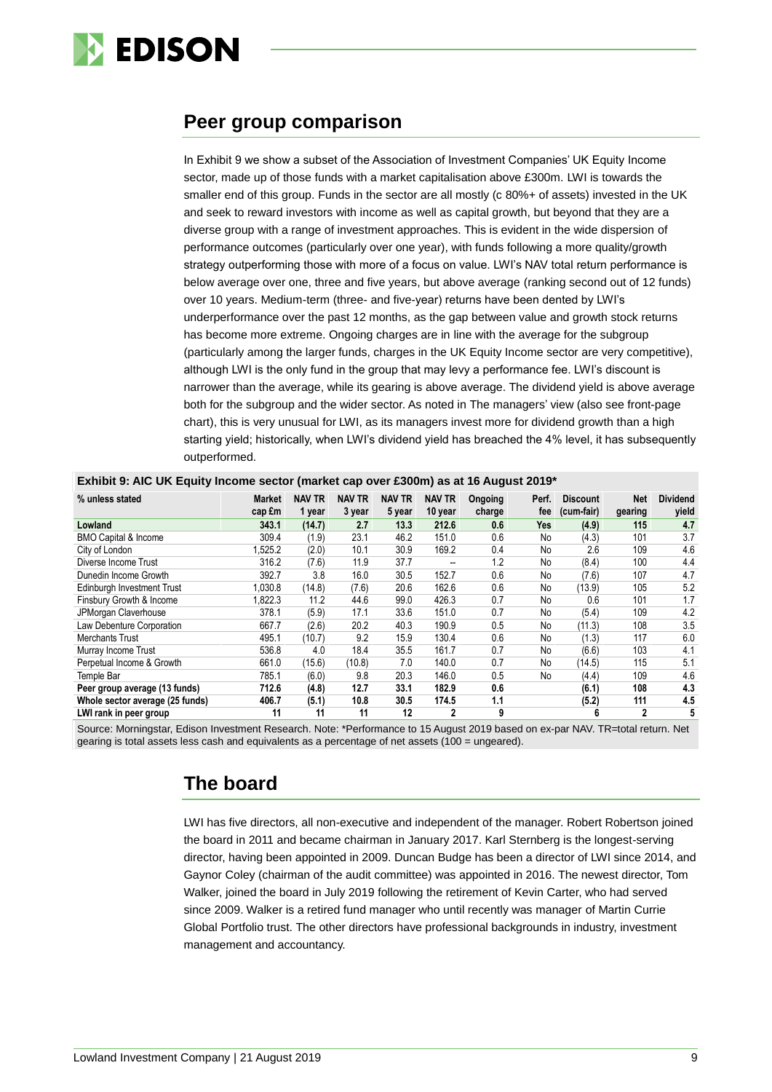

# **Peer group comparison**

In Exhibit 9 we show a subset of the Association of Investment Companies' UK Equity Income sector, made up of those funds with a market capitalisation above £300m. LWI is towards the smaller end of this group. Funds in the sector are all mostly (c 80%+ of assets) invested in the UK and seek to reward investors with income as well as capital growth, but beyond that they are a diverse group with a range of investment approaches. This is evident in the wide dispersion of performance outcomes (particularly over one year), with funds following a more quality/growth strategy outperforming those with more of a focus on value. LWI's NAV total return performance is below average over one, three and five years, but above average (ranking second out of 12 funds) over 10 years. Medium-term (three- and five-year) returns have been dented by LWI's underperformance over the past 12 months, as the gap between value and growth stock returns has become more extreme. Ongoing charges are in line with the average for the subgroup (particularly among the larger funds, charges in the UK Equity Income sector are very competitive), although LWI is the only fund in the group that may levy a performance fee. LWI's discount is narrower than the average, while its gearing is above average. The dividend yield is above average both for the subgroup and the wider sector. As noted in The managers' view (also see front-page chart), this is very unusual for LWI, as its managers invest more for dividend growth than a high starting yield; historically, when LWI's dividend yield has breached the 4% level, it has subsequently outperformed.

| % unless stated                 | <b>Market</b> | <b>NAV TR</b> | <b>NAV TR</b> | <b>NAV TR</b> | <b>NAV TR</b>  | Ongoing | Perf. | <b>Discount</b> | <b>Net</b>  | <b>Dividend</b> |
|---------------------------------|---------------|---------------|---------------|---------------|----------------|---------|-------|-----------------|-------------|-----------------|
|                                 | cap £m        | 1 year        | 3 year        | 5 year        | 10 year        | charge  | fee   | (cum-fair)      | gearing     | yield           |
| Lowland                         | 343.1         | (14.7)        | 2.7           | 13.3          | 212.6          | 0.6     | Yes   | (4.9)           | 115         | 4.7             |
| <b>BMO Capital &amp; Income</b> | 309.4         | (1.9)         | 23.1          | 46.2          | 151.0          | 0.6     | No    | (4.3)           | 101         | 3.7             |
| City of London                  | 525.2         | (2.0)         | 10.1          | 30.9          | 169.2          | 0.4     | No    | 2.6             | 109         | 4.6             |
| Diverse Income Trust            | 316.2         | (7.6)         | 11.9          | 37.7          | --             | 1.2     | No    | (8.4)           | 100         | 4.4             |
| Dunedin Income Growth           | 392.7         | 3.8           | 16.0          | 30.5          | 152.7          | 0.6     | No    | (7.6)           | 107         | 4.7             |
| Edinburgh Investment Trust      | 1,030.8       | (14.8)        | (7.6)         | 20.6          | 162.6          | 0.6     | No    | (13.9)          | 105         | 5.2             |
| Finsbury Growth & Income        | 1,822.3       | 11.2          | 44.6          | 99.0          | 426.3          | 0.7     | No    | 0.6             | 101         | 1.7             |
| JPMorgan Claverhouse            | 378.1         | (5.9)         | 17.1          | 33.6          | 151.0          | 0.7     | No    | (5.4)           | 109         | 4.2             |
| Law Debenture Corporation       | 667.7         | (2.6)         | 20.2          | 40.3          | 190.9          | 0.5     | No    | (11.3)          | 108         | 3.5             |
| <b>Merchants Trust</b>          | 495.1         | (10.7)        | 9.2           | 15.9          | 130.4          | 0.6     | No    | (1.3)           | 117         | 6.0             |
| Murray Income Trust             | 536.8         | 4.0           | 18.4          | 35.5          | 161.7          | 0.7     | No    | (6.6)           | 103         | 4.1             |
| Perpetual Income & Growth       | 661.0         | (15.6)        | (10.8)        | 7.0           | 140.0          | 0.7     | No    | (14.5)          | 115         | 5.1             |
| Temple Bar                      | 785.1         | (6.0)         | 9.8           | 20.3          | 146.0          | 0.5     | No    | (4.4)           | 109         | 4.6             |
| Peer group average (13 funds)   | 712.6         | (4.8)         | 12.7          | 33.1          | 182.9          | 0.6     |       | (6.1)           | 108         | 4.3             |
| Whole sector average (25 funds) | 406.7         | (5.1)         | 10.8          | 30.5          | 174.5          | 1.1     |       | (5.2)           | 111         | 4.5             |
| LWI rank in peer group          | 11            | 11            | 11            | 12            | $\overline{2}$ | 9       |       | 6               | $\mathbf 2$ | 5               |

**Exhibit 9: AIC UK Equity Income sector (market cap over £300m) as at 16 August 2019\***

Source: Morningstar, Edison Investment Research. Note: \*Performance to 15 August 2019 based on ex-par NAV. TR=total return. Net gearing is total assets less cash and equivalents as a percentage of net assets (100 = ungeared).

# **The board**

LWI has five directors, all non-executive and independent of the manager. Robert Robertson joined the board in 2011 and became chairman in January 2017. Karl Sternberg is the longest-serving director, having been appointed in 2009. Duncan Budge has been a director of LWI since 2014, and Gaynor Coley (chairman of the audit committee) was appointed in 2016. The newest director, Tom Walker, joined the board in July 2019 following the retirement of Kevin Carter, who had served since 2009. Walker is a retired fund manager who until recently was manager of Martin Currie Global Portfolio trust. The other directors have professional backgrounds in industry, investment management and accountancy.